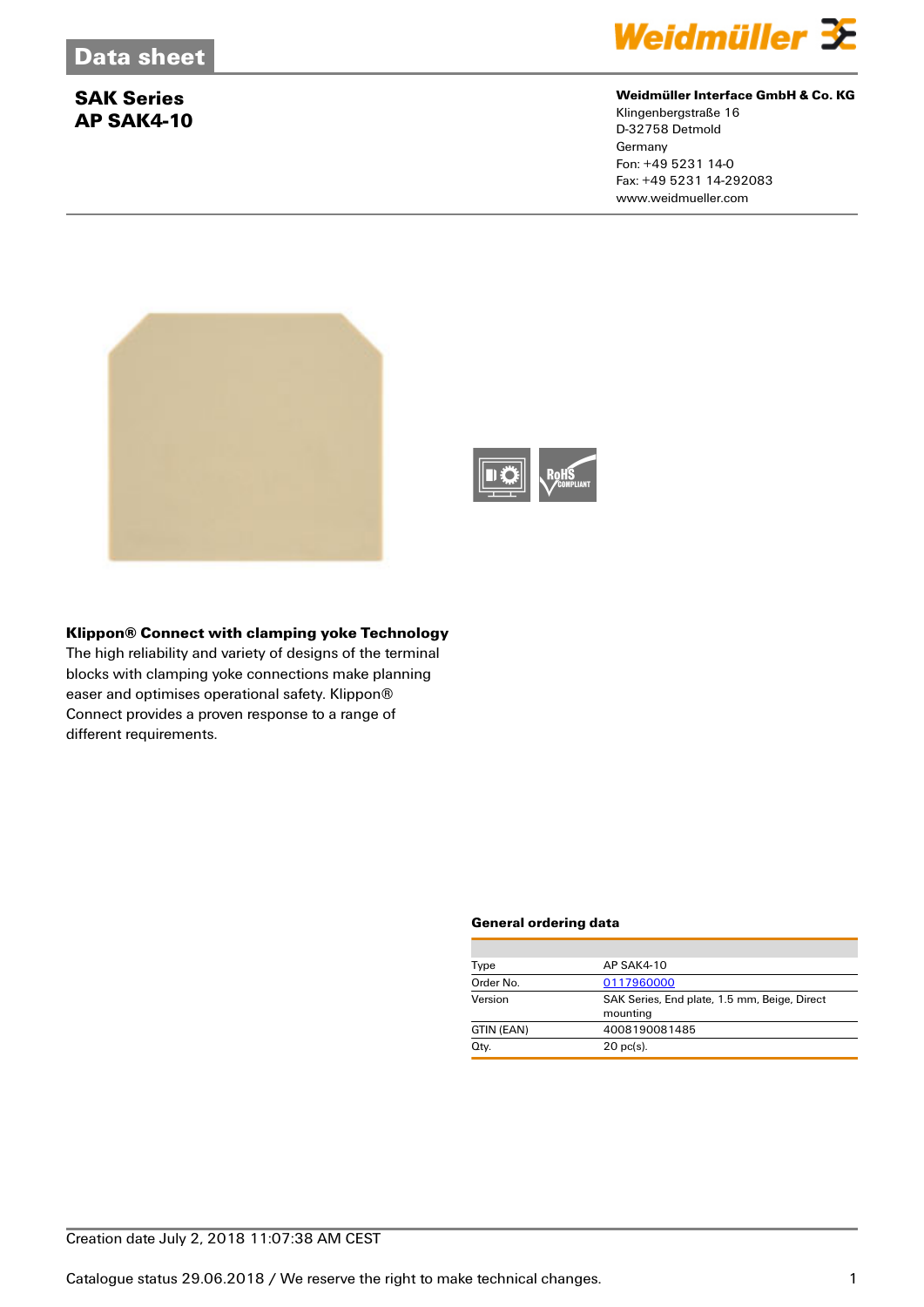# **SAK Series AP SAK4-10**



## **Weidmüller Interface GmbH & Co. KG**

Klingenbergstraße 16 D-32758 Detmold Germany Fon: +49 5231 14-0 Fax: +49 5231 14-292083 www.weidmueller.com





## **Klippon® Connect with clamping yoke Technology**

The high reliability and variety of designs of the terminal blocks with clamping yoke connections make planning easer and optimises operational safety. Klippon® Connect provides a proven response to a range of different requirements.

#### **General ordering data**

| Type       | AP SAK4-10                                               |  |  |
|------------|----------------------------------------------------------|--|--|
| Order No.  | 0117960000                                               |  |  |
| Version    | SAK Series, End plate, 1.5 mm, Beige, Direct<br>mounting |  |  |
| GTIN (EAN) | 4008190081485                                            |  |  |
| Qty.       | $20$ pc(s).                                              |  |  |